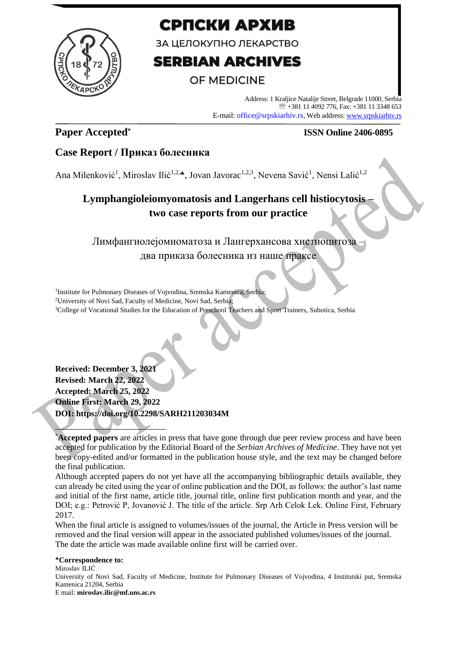

# СРПСКИ АРХИВ

ЗА ЦЕЛОКУПНО ЛЕКАРСТВО

# **SERBIAN ARCHIVES**

## OF MEDICINE

Address: 1 Kraljice Natalije Street, Belgrade 11000, Serbia +381 11 4092 776, Fax: +381 11 3348 653 E-mail: office@srpskiarhiv.rs, Web address[: www.srpskiarhiv.rs](http://www.srpskiarhiv.rs/)

## **Paper Accepted\***

## **ISSN Online 2406-0895**

## **Case Report / Приказ болесника**

Ana Milenković<sup>1</sup>, Miroslav Ilić<sup>1,2,</sup>\*, Jovan Javorac<sup>1,2,3</sup>, Nevena Savić<sup>1</sup>, Nensi Lalić<sup>1,2</sup>

## **Lymphangioleiomyomatosis and Langerhans cell histiocytosis – two case reports from our practice**

Лимфангиолејомиоматоза и Лангерхансова хистиоцитоза – два приказа болесника из наше праксе

<sup>1</sup>Institute for Pulmonary Diseases of Vojvodina, Sremska Kamenica, Serbia; <sup>2</sup>University of Novi Sad, Faculty of Medicine, Novi Sad, Serbia; <sup>3</sup>College of Vocational Studies for the Education of Preschool Teachers and Sport Trainers, Subotica, Serbia

**Received: December 3, 2021 Revised: March 22, 2022 Accepted: March 25, 2022 Online First: March 29, 2022 DOI: https://doi.org/10.2298/SARH211203034M**

\***Accepted papers** are articles in press that have gone through due peer review process and have been accepted for publication by the Editorial Board of the *Serbian Archives of Medicine*. They have not yet been copy-edited and/or formatted in the publication house style, and the text may be changed before the final publication.

Although accepted papers do not yet have all the accompanying bibliographic details available, they can already be cited using the year of online publication and the DOI, as follows: the author's last name and initial of the first name, article title, journal title, online first publication month and year, and the DOI; e.g.: Petrović P, Jovanović J. The title of the article. Srp Arh Celok Lek. Online First, February 2017.

When the final article is assigned to volumes/issues of the journal, the Article in Press version will be removed and the final version will appear in the associated published volumes/issues of the journal. The date the article was made available online first will be carried over.

### **Correspondence to:**

Miroslav ILIĆ University of Novi Sad, Faculty of Medicine, Institute for Pulmonary Diseases of Vojvodina, 4 Institutski put, Sremska Kamenica 21204, Serbia E mail: **miroslav.ilic@mf.uns.ac.rs**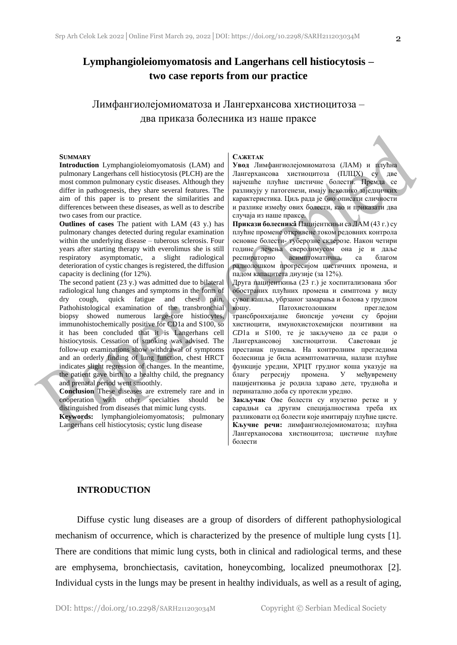## **Lymphangioleiomyomatosis and Langerhans cell histiocytosis – two case reports from our practice**

Лимфангиолејомиоматоза и Лангерхансова хистиоцитоза – два приказа болесника из наше праксе

#### **SUMMARY**

**Introduction** Lymphangioleiomyomatosis (LAM) and pulmonary Langerhans cell histiocytosis (PLCH) are the most common pulmonary cystic diseases. Although they differ in pathogenesis, they share several features. The aim of this paper is to present the similarities and differences between these diseases, as well as to describe two cases from our practice.

**Outlines of cases** The patient with LAM (43 y.) has pulmonary changes detected during regular examination within the underlying disease – tuberous sclerosis. Four years after starting therapy with everolimus she is still respiratory asymptomatic, a slight radiological deterioration of cystic changes is registered, the diffusion capacity is declining (for 12%).

The second patient (23 y.) was admitted due to bilateral radiological lung changes and symptoms in the form of dry cough, quick fatigue and chest pain. Pathohistological examination of the transbronchial biopsy showed numerous large-core histiocytes, immunohistochemically positive for CD1a and S100, so it has been concluded that it is Langerhans cell histiocytosis. Cessation of smoking was advised. The follow-up examinations show withdrawal of symptoms and an orderly finding of lung function, chest HRCT indicates slight regression of changes. In the meantime, the patient gave birth to a healthy child, the pregnancy and prenatal period went smoothly.

**Conclusion** These diseases are extremely rare and in cooperation with other specialties should distinguished from diseases that mimic lung cysts.

**Keywords:** lymphangioleiomyomatosis; pulmonary Langerhans cell histiocytosis; cystic lung disease

#### **САЖЕТАК**

**Увод** Лимфангиолејомиоматоза (ЛАМ) и плућна Лангерхансова хистиоцитоза (ПЛЦХ) су две најчешће плућне цистичне болести. Премда се разликују у патогенези, имају неколико заједничких карактеристика. Циљ рада је био описати сличности и разлике између ових болести, као и приказати два случаја из наше праксе.

**Прикази болесникâ** Пацијенткињи са ЛАМ (43 г.) су плућне промене откривене током редовних контрола основне болести- туберозне склерозе. Након четири године лечења еверолимусом она је и даље респираторно асимптоматична, са благом радиолошком прогресијом цистичних промена, и падом капацитета диузије (за 12%).

Друга пацијенткиња (23 г.) је хоспитализована због обостраних плућних промена и симптома у виду сувог кашља, убрзаног замарања и болова у грудном кошу. Патохистолошким прегледом трансбронхијалне биопсије уочени су бројни хистиоцити, имунохистохемијски позитивни на *CD*1а и *S*100, те је закључено да се ради о Лангерхансовој хистиоцитози. Саветован је престанак пушења. На контролним прегледима болесница је била асимптоматична, налази плућне функције уредни, ХРЦТ грудног коша указује на благу регресију промена. У међувремену пацијенткиња је родила здраво дете, трудноћа и перинатално доба су протекли уредно.

**Закључак** Ове болести су изузетно ретке и у сарадњи са другим специјалностима треба их разликовати од болести које имитирају плућне цисте. **Кључне речи:** лимфангиолејомиоматоза; плућна Лангерханосова хистиоцитоза; цистичне плућне болести

### **INTRODUCTION**

Diffuse cystic lung diseases are a group of disorders of different pathophysiological mechanism of occurrence, which is characterized by the presence of multiple lung cysts [1]. There are conditions that mimic lung cysts, both in clinical and radiological terms, and these are emphysema, bronchiectasis, cavitation, honeycombing, localized pneumothorax [2]. Individual cysts in the lungs may be present in healthy individuals, as well as a result of aging,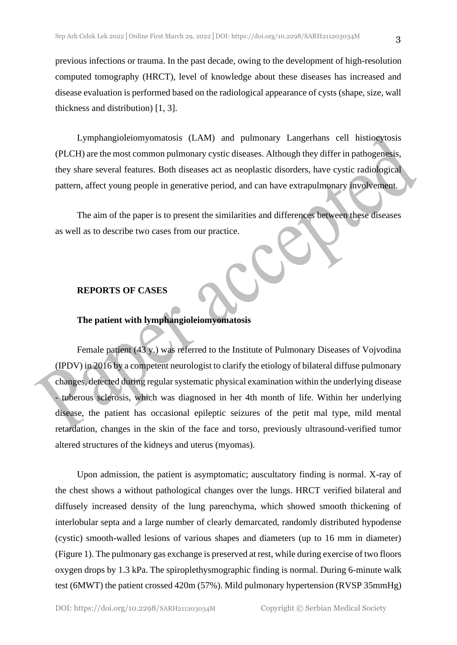previous infections or trauma. In the past decade, owing to the development of high-resolution computed tomography (HRCT), level of knowledge about these diseases has increased and disease evaluation is performed based on the radiological appearance of cysts (shape, size, wall thickness and distribution) [1, 3].

Lymphangioleiomyomatosis (LAM) and pulmonary Langerhans cell histiocytosis (PLCH) are the most common pulmonary cystic diseases. Although they differ in pathogenesis, they share several features. Both diseases act as neoplastic disorders, have cystic radiological pattern, affect young people in generative period, and can have extrapulmonary involvement.

The aim of the paper is to present the similarities and differences between these diseases as well as to describe two cases from our practice.

## **REPORTS OF CASES**

### **The patient with lymphangioleiomyomatosis**

Female patient (43 y.) was referred to the Institute of Pulmonary Diseases of Vojvodina (IPDV) in 2016 by a competent neurologist to clarify the etiology of bilateral diffuse pulmonary changes, detected during regular systematic physical examination within the underlying disease - tuberous sclerosis, which was diagnosed in her 4th month of life. Within her underlying disease, the patient has occasional epileptic seizures of the petit mal type, mild mental retardation, changes in the skin of the face and torso, previously ultrasound-verified tumor altered structures of the kidneys and uterus (myomas).

Upon admission, the patient is asymptomatic; auscultatory finding is normal. X-ray of the chest shows a without pathological changes over the lungs. HRCT verified bilateral and diffusely increased density of the lung parenchyma, which showed smooth thickening of interlobular septa and a large number of clearly demarcated, randomly distributed hypodense (cystic) smooth-walled lesions of various shapes and diameters (up to 16 mm in diameter) (Figure 1). The pulmonary gas exchange is preserved at rest, while during exercise of two floors oxygen drops by 1.3 kPa. The spiroplethysmographic finding is normal. During 6-minute walk test (6MWT) the patient crossed 420m (57%). Mild pulmonary hypertension (RVSP 35mmHg)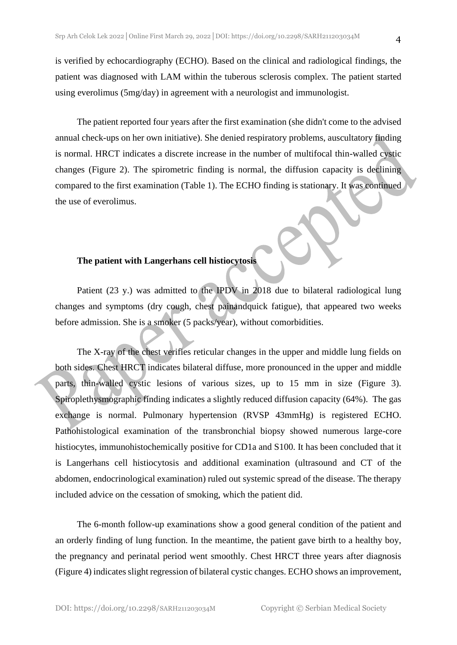is verified by echocardiography (ECHO). Based on the clinical and radiological findings, the patient was diagnosed with LAM within the tuberous sclerosis complex. The patient started using everolimus (5mg/day) in agreement with a neurologist and immunologist.

The patient reported four years after the first examination (she didn't come to the advised annual check-ups on her own initiative). She denied respiratory problems, auscultatory finding is normal. HRCT indicates a discrete increase in the number of multifocal thin-walled cystic changes (Figure 2). The spirometric finding is normal, the diffusion capacity is declining compared to the first examination (Table 1). The ECHO finding is stationary. It was continued the use of everolimus.

## **The patient with Langerhans cell histiocytosis**

Patient (23 y.) was admitted to the IPDV in 2018 due to bilateral radiological lung changes and symptoms (dry cough, chest painandquick fatigue), that appeared two weeks before admission. She is a smoker (5 packs/year), without comorbidities.

The X-ray of the chest verifies reticular changes in the upper and middle lung fields on both sides. Chest HRCT indicates bilateral diffuse, more pronounced in the upper and middle parts, thin-walled cystic lesions of various sizes, up to 15 mm in size (Figure 3). Spiroplethysmographic finding indicates a slightly reduced diffusion capacity (64%). The gas exchange is normal. Pulmonary hypertension (RVSP 43mmHg) is registered ECHO. Pathohistological examination of the transbronchial biopsy showed numerous large-core histiocytes, immunohistochemically positive for CD1a and S100. It has been concluded that it is Langerhans cell histiocytosis and additional examination (ultrasound and CT of the abdomen, endocrinological examination) ruled out systemic spread of the disease. The therapy included advice on the cessation of smoking, which the patient did.

The 6-month follow-up examinations show a good general condition of the patient and an orderly finding of lung function. In the meantime, the patient gave birth to a healthy boy, the pregnancy and perinatal period went smoothly. Chest HRCT three years after diagnosis (Figure 4) indicates slight regression of bilateral cystic changes. ECHO shows an improvement,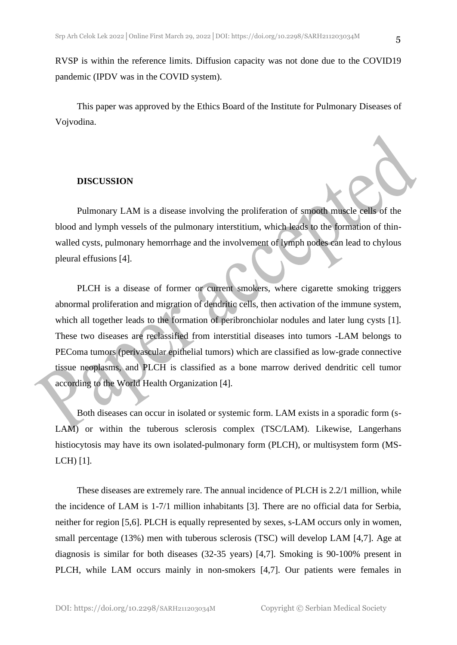pandemic (IPDV was in the COVID system).

This paper was approved by the Ethics Board of the Institute for Pulmonary Diseases of Vojvodina.

### **DISCUSSION**

Pulmonary LAM is a disease involving the proliferation of smooth muscle cells of the blood and lymph vessels of the pulmonary interstitium, which leads to the formation of thinwalled cysts, pulmonary hemorrhage and the involvement of lymph nodes can lead to chylous pleural effusions [4].

PLCH is a disease of former or current smokers, where cigarette smoking triggers abnormal proliferation and migration of dendritic cells, then activation of the immune system, which all together leads to the formation of peribronchiolar nodules and later lung cysts [1]. These two diseases are reclassified from interstitial diseases into tumors -LAM belongs to PEComa tumors (perivascular epithelial tumors) which are classified as low-grade connective tissue neoplasms, and PLCH is classified as a bone marrow derived dendritic cell tumor according to the World Health Organization [4].

Both diseases can occur in isolated or systemic form. LAM exists in a sporadic form (s-LAM) or within the tuberous sclerosis complex (TSC/LAM). Likewise, Langerhans histiocytosis may have its own isolated-pulmonary form (PLCH), or multisystem form (MS-LCH) [1].

These diseases are extremely rare. The annual incidence of PLCH is 2.2/1 million, while the incidence of LAM is 1-7/1 million inhabitants [3]. There are no official data for Serbia, neither for region [5,6]. PLCH is equally represented by sexes, s-LAM occurs only in women, small percentage (13%) men with tuberous sclerosis (TSC) will develop LAM [4,7]. Age at diagnosis is similar for both diseases (32-35 years) [4,7]. Smoking is 90-100% present in PLCH, while LAM occurs mainly in non-smokers [4,7]. Our patients were females in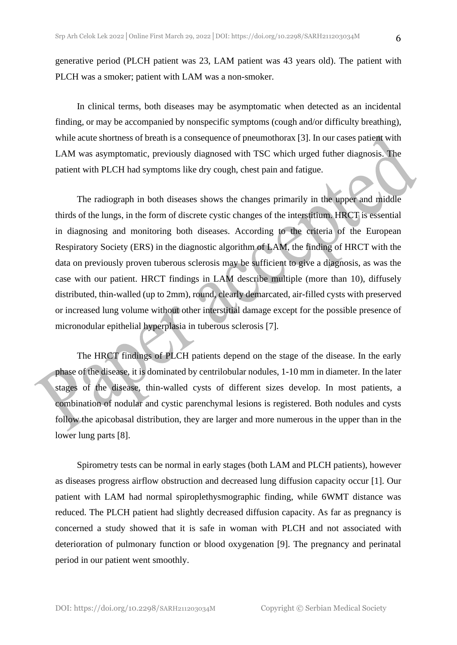generative period (PLCH patient was 23, LAM patient was 43 years old). The patient with PLCH was a smoker; patient with LAM was a non-smoker.

In clinical terms, both diseases may be asymptomatic when detected as an incidental finding, or may be accompanied by nonspecific symptoms (cough and/or difficulty breathing), while acute shortness of breath is a consequence of pneumothorax [3]. In our cases patient with LAM was asymptomatic, previously diagnosed with TSC which urged futher diagnosis. The patient with PLCH had symptoms like dry cough, chest pain and fatigue.

The radiograph in both diseases shows the changes primarily in the upper and middle thirds of the lungs, in the form of discrete cystic changes of the interstitium. HRCT is essential in diagnosing and monitoring both diseases. According to the criteria of the European Respiratory Society (ERS) in the diagnostic algorithm of LAM, the finding of HRCT with the data on previously proven tuberous sclerosis may be sufficient to give a diagnosis, as was the case with our patient. HRCT findings in LAM describe multiple (more than 10), diffusely distributed, thin-walled (up to 2mm), round, clearly demarcated, air-filled cysts with preserved or increased lung volume without other interstitial damage except for the possible presence of micronodular epithelial hyperplasia in tuberous sclerosis [7].

The HRCT findings of PLCH patients depend on the stage of the disease. In the early phase of the disease, it is dominated by centrilobular nodules, 1-10 mm in diameter. In the later stages of the disease, thin-walled cysts of different sizes develop. In most patients, a combination of nodular and cystic parenchymal lesions is registered. Both nodules and cysts follow the apicobasal distribution, they are larger and more numerous in the upper than in the lower lung parts [8].

Spirometry tests can be normal in early stages (both LAM and PLCH patients), however as diseases progress airflow obstruction and decreased lung diffusion capacity occur [1]. Our patient with LAM had normal spiroplethysmographic finding, while 6WMT distance was reduced. The PLCH patient had slightly decreased diffusion capacity. As far as pregnancy is concerned a study showed that it is safe in woman with PLCH and not associated with deterioration of pulmonary function or blood oxygenation [9]. The pregnancy and perinatal period in our patient went smoothly.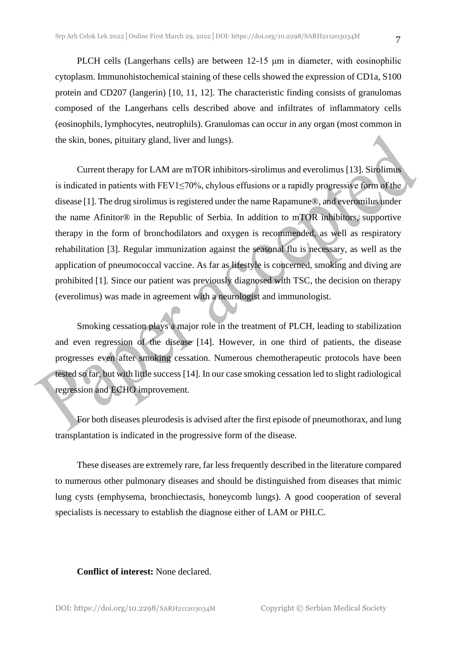PLCH cells (Langerhans cells) are between 12-15 μm in diameter, with eosinophilic cytoplasm. Immunohistochemical staining of these cells showed the expression of CD1a, S100 protein and CD207 (langerin) [10, 11, 12]. The characteristic finding consists of granulomas composed of the Langerhans cells described above and infiltrates of inflammatory cells (eosinophils, lymphocytes, neutrophils). Granulomas can occur in any organ (most common in the skin, bones, pituitary gland, liver and lungs).

Current therapy for LAM are mTOR inhibitors-sirolimus and everolimus [13]. Sirolimus is indicated in patients with FEV1≤70%, chylous effusions or a rapidly progressive form of the disease [1]. The drug sirolimus is registered under the name Rapamune®, and everomilus under the name Afinitor® in the Republic of Serbia. In addition to mTOR inhibitors, supportive therapy in the form of bronchodilators and oxygen is recommended, as well as respiratory rehabilitation [3]. Regular immunization against the seasonal flu is necessary, as well as the application of pneumococcal vaccine. As far as lifestyle is concerned, smoking and diving are prohibited [1]. Since our patient was previously diagnosed with TSC, the decision on therapy (everolimus) was made in agreement with a neurologist and immunologist.

Smoking cessation plays a major role in the treatment of PLCH, leading to stabilization and even regression of the disease [14]. However, in one third of patients, the disease progresses even after smoking cessation. Numerous chemotherapeutic protocols have been tested so far, but with little success [14]. In our case smoking cessation led to slight radiological regression and ECHO improvement.

For both diseases pleurodesis is advised after the first episode of pneumothorax, and lung transplantation is indicated in the progressive form of the disease.

These diseases are extremely rare, far less frequently described in the literature compared to numerous other pulmonary diseases and should be distinguished from diseases that mimic lung cysts (emphysema, bronchiectasis, honeycomb lungs). A good cooperation of several specialists is necessary to establish the diagnose either of LAM or PHLC.

### **Conflict of interest:** None declared.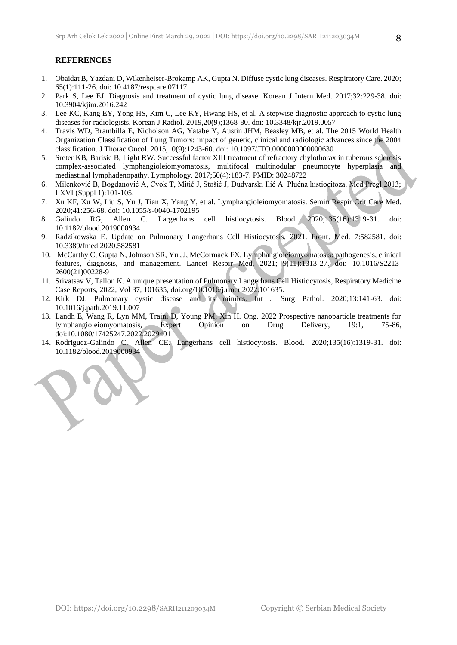### **REFERENCES**

- 1. Obaidat B, Yazdani D, Wikenheiser-Brokamp AK, Gupta N. Diffuse cystic lung diseases. Respiratory Care. 2020; 65(1):111-26. doi: 10.4187/respcare.07117
- 2. Park S, Lee EJ. Diagnosis and treatment of cystic lung disease. Korean J Intern Med. 2017;32:229-38. doi: 10.3904/kjim.2016.242
- 3. Lee KC, Kang EY, Yong HS, Kim C, Lee KY, Hwang HS, et al. A stepwise diagnostic approach to cystic lung diseases for radiologists. Korean J Radiol. 2019,20(9);1368-80. doi: 10.3348/kjr.2019.0057
- 4. Travis WD, Brambilla E, Nicholson AG, Yatabe Y, Austin JHM, Beasley MB, et al. The 2015 World Health Organization Classification of Lung Tumors: impact of genetic, clinical and radiologic advances since the 2004 classification. J Thorac Oncol. 2015;10(9):1243-60. doi: 10.1097/JTO.0000000000000630
- 5. Sreter KB, Barisic B, Light RW. Successful factor XIII treatment of refractory chylothorax in tuberous sclerosis complex-associated lymphangioleiomyomatosis, multifocal multinodular pneumocyte hyperplasia and mediastinal lymphadenopathy. Lymphology. 2017;50(4):183-7. PMID: 30248722
- 6. Milenković B, Bogdanović A, Cvok T, Mitić J, Stošić J, Dudvarski Ilić A. Plućna histiocitoza. Med Pregl 2013; LXVI (Suppl 1):101-105.
- 7. Xu KF, Xu W, Liu S, Yu J, Tian X, Yang Y, et al. Lymphangioleiomyomatosis. Semin Respir Crit Care Med. 2020;41:256-68. doi: 10.1055/s-0040-1702195
- 8. Galindo RG, Allen C. Largenhans cell histiocytosis. Blood. 2020;135(16):1319-31. doi: 10.1182/blood.2019000934
- 9. Radzikowska E. Update on Pulmonary Langerhans Cell Histiocytosis. 2021. Front. Med. 7:582581. doi: 10.3389/fmed.2020.582581
- 10. McCarthy C, Gupta N, Johnson SR, Yu JJ, McCormack FX. Lymphangioleiomyomatosis: pathogenesis, clinical features, diagnosis, and management. Lancet Respir Med. 2021; 9(11):1313-27. doi: 10.1016/S2213- 2600(21)00228-9
- 11. Srivatsav V, Tallon K. A unique presentation of Pulmonary Langerhans Cell Histiocytosis, Respiratory Medicine Case Reports, 2022, Vol 37, 101635, doi.org/10.1016/j.rmcr.2022.101635.
- 12. Kirk DJ. Pulmonary cystic disease and its mimics. Int J Surg Pathol. 2020;13:141-63. doi: 10.1016/j.path.2019.11.007
- 13. Landh E, Wang R, Lyn MM, Traini D, Young PM, Xin H. Ong. 2022 Prospective nanoparticle treatments for lymphangioleiomyomatosis, Expert Opinion on Drug Delivery, 19:1, 75-86, doi:10.1080/17425247.2022.2029401
- 14. Rodriguez-Galindo C, Allen CE. Langerhans cell histiocytosis. Blood. 2020;135(16):1319-31. doi: 10.1182/blood.2019000934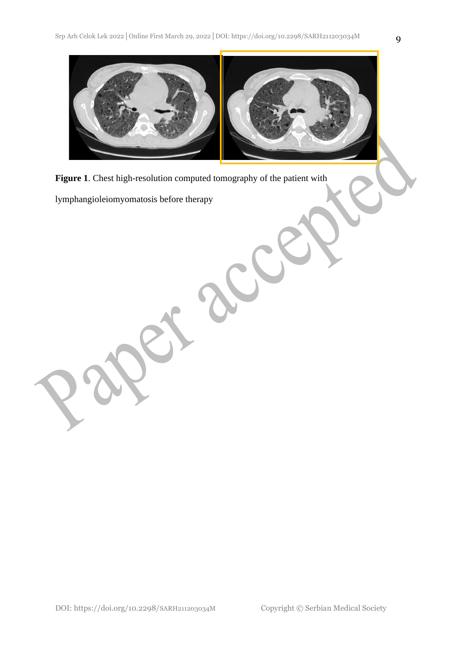

**Figure 1**. Chest high-resolution computed tomography of the patient with

lymphangioleiomyomatosis before therapy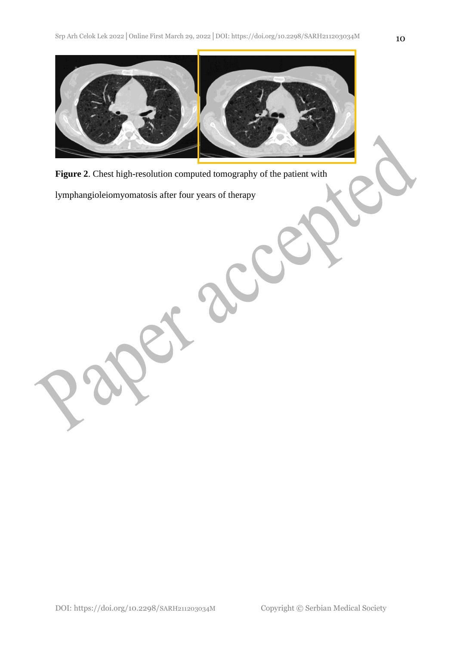

**Figure 2**. Chest high-resolution computed tomography of the patient with

lymphangioleiomyomatosis after four years of therapy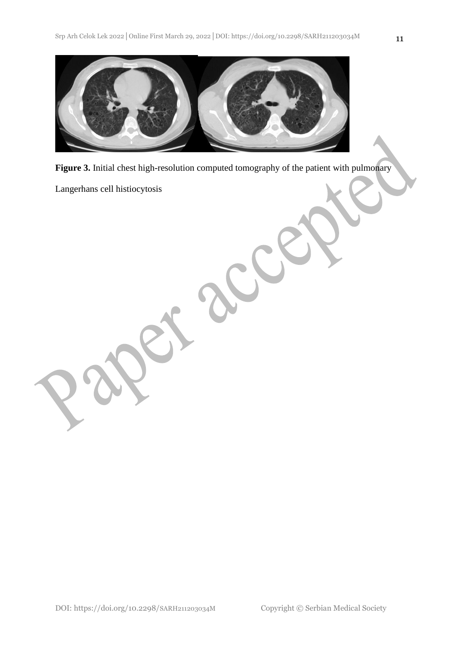

Figure 3. Initial chest high-resolution computed tomography of the patient with pulmonary

Langerhans cell histiocytosis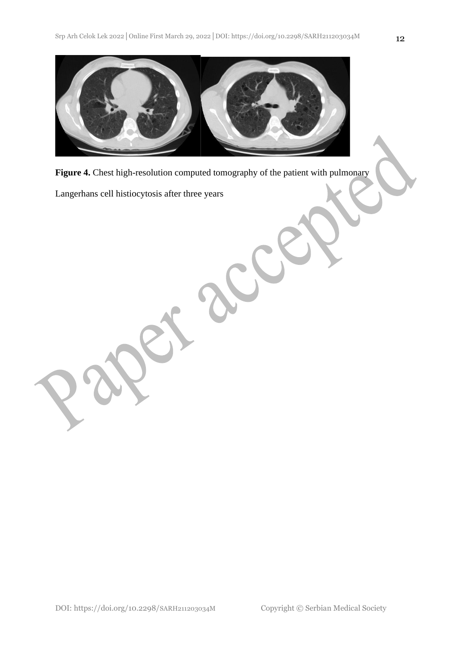

**Figure 4.** Chest high-resolution computed tomography of the patient with pulmonary

Langerhans cell histiocytosis after three years